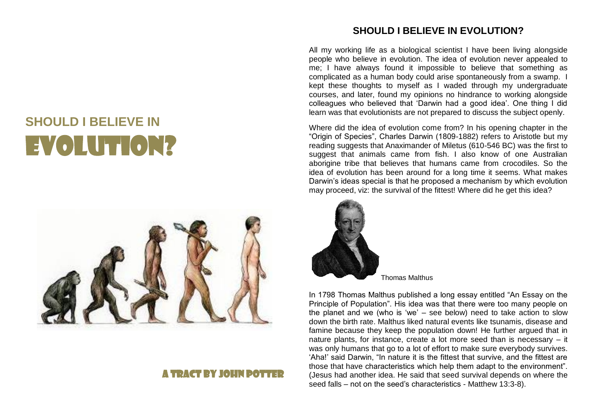## **SHOULD I BELIEVE IN**  EVOLUTION?



## A TDACT BY IOUN DOT

## **SHOULD I BELIEVE IN EVOLUTION?**

All my working life as a biological scientist I have been living alongside people who believe in evolution. The idea of evolution never appealed to me; I have always found it impossible to believe that something as complicated as a human body could arise spontaneously from a swamp. I kept these thoughts to myself as I waded through my undergraduate courses, and later, found my opinions no hindrance to working alongside colleagues who believed that 'Darwin had a good idea'. One thing I did learn was that evolutionists are not prepared to discuss the subject openly.

Where did the idea of evolution come from? In his opening chapter in the "Origin of Species", Charles Darwin (1809-1882) refers to Aristotle but my reading suggests that Anaximander of Miletus (610-546 BC) was the first to suggest that animals came from fish. I also know of one Australian aborigine tribe that believes that humans came from crocodiles. So the idea of evolution has been around for a long time it seems. What makes Darwin's ideas special is that he proposed a mechanism by which evolution may proceed, viz: the survival of the fittest! Where did he get this idea?



Thomas Malthus

In 1798 Thomas Malthus published a long essay entitled "An Essay on the Principle of Population". His idea was that there were too many people on the planet and we (who is 'we' – see below) need to take action to slow down the birth rate. Malthus liked natural events like tsunamis, disease and famine because they keep the population down! He further argued that in nature plants, for instance, create a lot more seed than is necessary – it was only humans that go to a lot of effort to make sure everybody survives. 'Aha!' said Darwin, "In nature it is the fittest that survive, and the fittest are those that have characteristics which help them adapt to the environment". (Jesus had another idea. He said that seed survival depends on where the seed falls – not on the seed's characteristics - Matthew 13:3-8).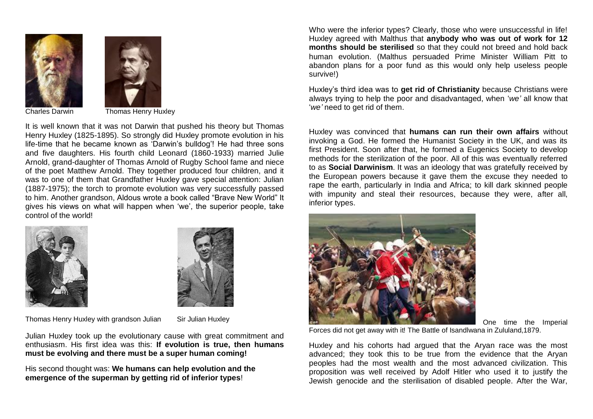



Charles Darwin Thomas Henry Huxley

It is well known that it was not Darwin that pushed his theory but Thomas Henry Huxley (1825-1895). So strongly did Huxley promote evolution in his life-time that he became known as 'Darwin's bulldog'! He had three sons and five daughters. His fourth child Leonard (1860-1933) married Julie Arnold, grand-daughter of Thomas Arnold of Rugby School fame and niece of the poet Matthew Arnold. They together produced four children, and it was to one of them that Grandfather Huxley gave special attention: Julian (1887-1975); the torch to promote evolution was very successfully passed to him. Another grandson, Aldous wrote a book called "Brave New World" It gives his views on what will happen when 'we', the superior people, take control of the world!





Thomas Henry Huxley with grandson Julian Sir Julian Huxley

Julian Huxley took up the evolutionary cause with great commitment and enthusiasm. His first idea was this: **If evolution is true, then humans must be evolving and there must be a super human coming!**

His second thought was: **We humans can help evolution and the emergence of the superman by getting rid of inferior types**!

Who were the inferior types? Clearly, those who were unsuccessful in life! Huxley agreed with Malthus that **anybody who was out of work for 12 months should be sterilised** so that they could not breed and hold back human evolution. (Malthus persuaded Prime Minister William Pitt to abandon plans for a poor fund as this would only help useless people survive!)

Huxley's third idea was to **get rid of Christianity** because Christians were always trying to help the poor and disadvantaged, when '*we'* all know that '*we'* need to get rid of them.

Huxley was convinced that **humans can run their own affairs** without invoking a God. He formed the Humanist Society in the UK, and was its first President. Soon after that, he formed a Eugenics Society to develop methods for the sterilization of the poor. All of this was eventually referred to as **Social Darwinism**. It was an ideology that was gratefully received by the European powers because it gave them the excuse they needed to rape the earth, particularly in India and Africa; to kill dark skinned people with impunity and steal their resources, because they were, after all, inferior types.



One time the Imperial

Forces did not get away with it! The Battle of Isandlwana in Zululand,1879.

Huxley and his cohorts had argued that the Aryan race was the most advanced; they took this to be true from the evidence that the Aryan peoples had the most wealth and the most advanced civilization. This proposition was well received by Adolf Hitler who used it to justify the Jewish genocide and the sterilisation of disabled people. After the War,